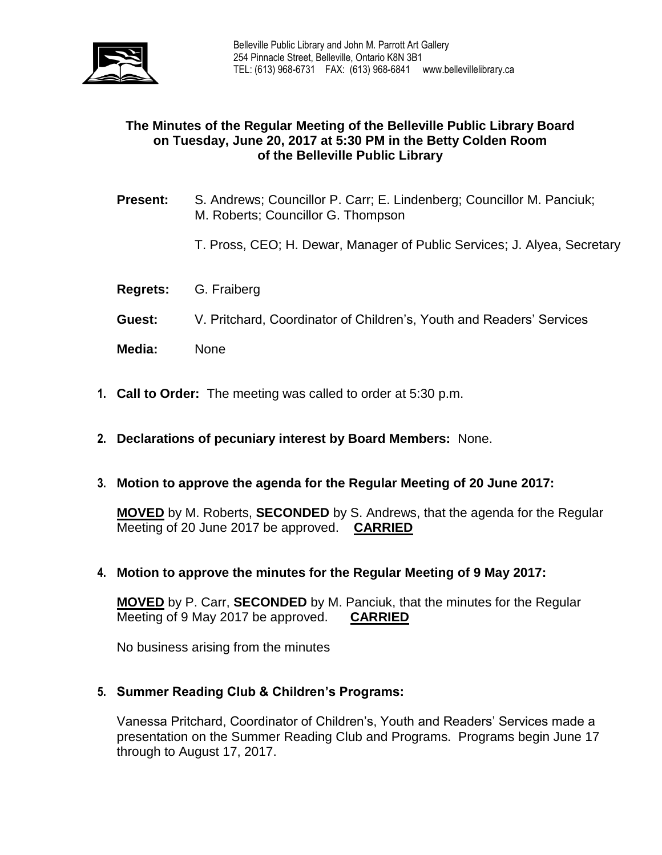

# **The Minutes of the Regular Meeting of the Belleville Public Library Board on Tuesday, June 20, 2017 at 5:30 PM in the Betty Colden Room of the Belleville Public Library**

- **Present:** S. Andrews; Councillor P. Carr; E. Lindenberg; Councillor M. Panciuk; M. Roberts; Councillor G. Thompson
	- T. Pross, CEO; H. Dewar, Manager of Public Services; J. Alyea, Secretary
- **Regrets:** G. Fraiberg
- **Guest:** V. Pritchard, Coordinator of Children's, Youth and Readers' Services
- **Media:** None
- **1. Call to Order:** The meeting was called to order at 5:30 p.m.
- **2. Declarations of pecuniary interest by Board Members:** None.
- **3. Motion to approve the agenda for the Regular Meeting of 20 June 2017:**

**MOVED** by M. Roberts, **SECONDED** by S. Andrews, that the agenda for the Regular Meeting of 20 June 2017 be approved. **CARRIED**

**4. Motion to approve the minutes for the Regular Meeting of 9 May 2017:**

**MOVED** by P. Carr, **SECONDED** by M. Panciuk, that the minutes for the Regular Meeting of 9 May 2017 be approved. **CARRIED**

No business arising from the minutes

### **5. Summer Reading Club & Children's Programs:**

Vanessa Pritchard, Coordinator of Children's, Youth and Readers' Services made a presentation on the Summer Reading Club and Programs. Programs begin June 17 through to August 17, 2017.